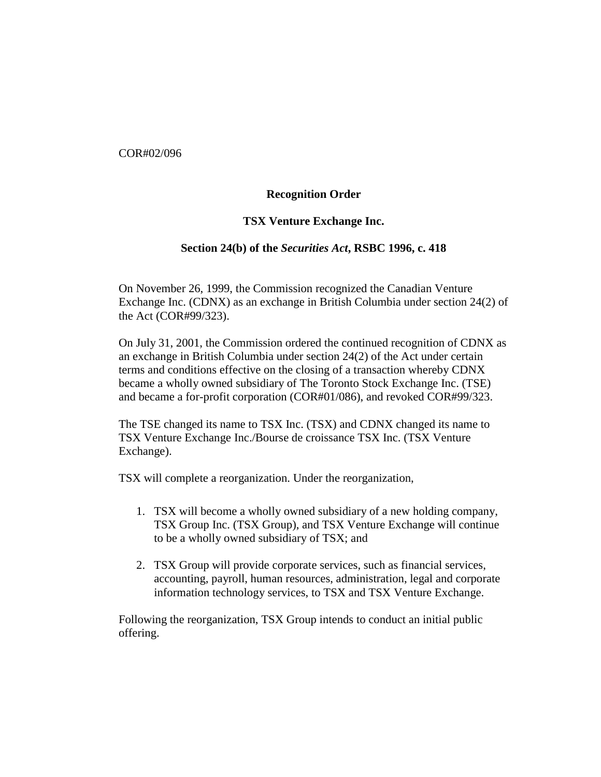### COR#02/096

# **Recognition Order**

## **TSX Venture Exchange Inc.**

## **Section 24(b) of the** *Securities Act***, RSBC 1996, c. 418**

On November 26, 1999, the Commission recognized the Canadian Venture Exchange Inc. (CDNX) as an exchange in British Columbia under section 24(2) of the Act (COR#99/323).

On July 31, 2001, the Commission ordered the continued recognition of CDNX as an exchange in British Columbia under section 24(2) of the Act under certain terms and conditions effective on the closing of a transaction whereby CDNX became a wholly owned subsidiary of The Toronto Stock Exchange Inc. (TSE) and became a for-profit corporation (COR#01/086), and revoked COR#99/323.

The TSE changed its name to TSX Inc. (TSX) and CDNX changed its name to TSX Venture Exchange Inc./Bourse de croissance TSX Inc. (TSX Venture Exchange).

TSX will complete a reorganization. Under the reorganization,

- 1. TSX will become a wholly owned subsidiary of a new holding company, TSX Group Inc. (TSX Group), and TSX Venture Exchange will continue to be a wholly owned subsidiary of TSX; and
- 2. TSX Group will provide corporate services, such as financial services, accounting, payroll, human resources, administration, legal and corporate information technology services, to TSX and TSX Venture Exchange.

Following the reorganization, TSX Group intends to conduct an initial public offering.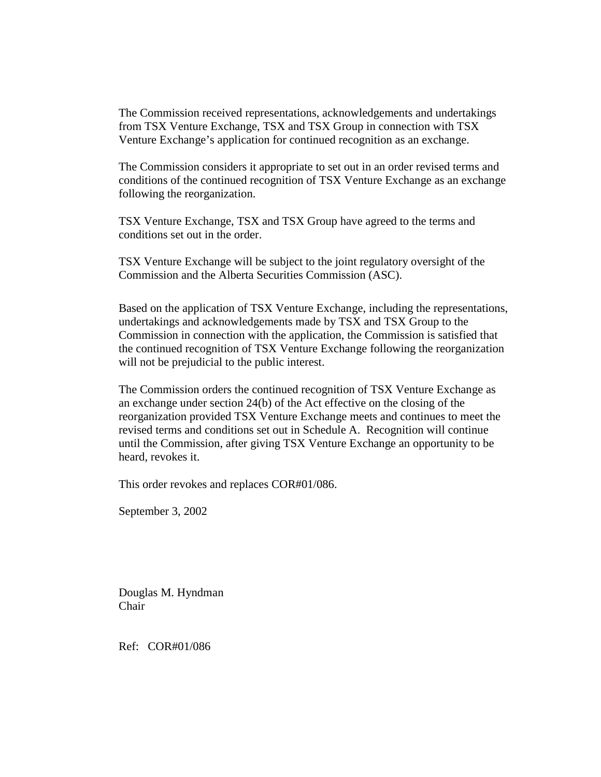The Commission received representations, acknowledgements and undertakings from TSX Venture Exchange, TSX and TSX Group in connection with TSX Venture Exchange's application for continued recognition as an exchange.

The Commission considers it appropriate to set out in an order revised terms and conditions of the continued recognition of TSX Venture Exchange as an exchange following the reorganization.

TSX Venture Exchange, TSX and TSX Group have agreed to the terms and conditions set out in the order.

TSX Venture Exchange will be subject to the joint regulatory oversight of the Commission and the Alberta Securities Commission (ASC).

Based on the application of TSX Venture Exchange, including the representations, undertakings and acknowledgements made by TSX and TSX Group to the Commission in connection with the application, the Commission is satisfied that the continued recognition of TSX Venture Exchange following the reorganization will not be prejudicial to the public interest.

The Commission orders the continued recognition of TSX Venture Exchange as an exchange under section 24(b) of the Act effective on the closing of the reorganization provided TSX Venture Exchange meets and continues to meet the revised terms and conditions set out in Schedule A. Recognition will continue until the Commission, after giving TSX Venture Exchange an opportunity to be heard, revokes it.

This order revokes and replaces COR#01/086.

September 3, 2002

Douglas M. Hyndman Chair

Ref: COR#01/086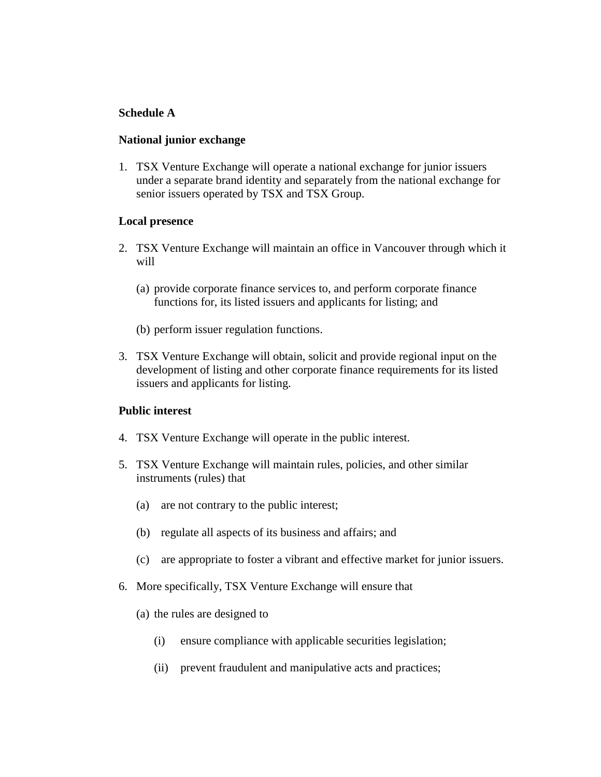# **Schedule A**

# **National junior exchange**

1. TSX Venture Exchange will operate a national exchange for junior issuers under a separate brand identity and separately from the national exchange for senior issuers operated by TSX and TSX Group.

# **Local presence**

- 2. TSX Venture Exchange will maintain an office in Vancouver through which it will
	- (a) provide corporate finance services to, and perform corporate finance functions for, its listed issuers and applicants for listing; and
	- (b) perform issuer regulation functions.
- 3. TSX Venture Exchange will obtain, solicit and provide regional input on the development of listing and other corporate finance requirements for its listed issuers and applicants for listing.

### **Public interest**

- 4. TSX Venture Exchange will operate in the public interest.
- 5. TSX Venture Exchange will maintain rules, policies, and other similar instruments (rules) that
	- (a) are not contrary to the public interest;
	- (b) regulate all aspects of its business and affairs; and
	- (c) are appropriate to foster a vibrant and effective market for junior issuers.
- 6. More specifically, TSX Venture Exchange will ensure that
	- (a) the rules are designed to
		- (i) ensure compliance with applicable securities legislation;
		- (ii) prevent fraudulent and manipulative acts and practices;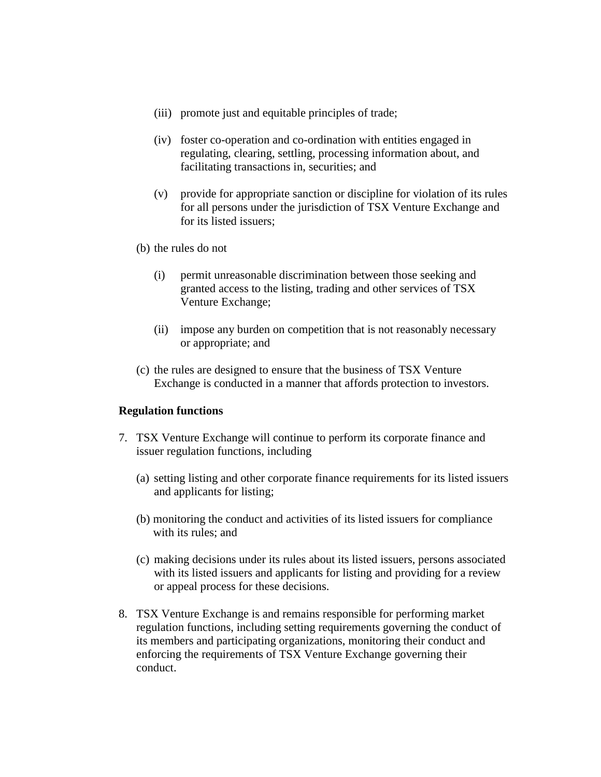- (iii) promote just and equitable principles of trade;
- (iv) foster co-operation and co-ordination with entities engaged in regulating, clearing, settling, processing information about, and facilitating transactions in, securities; and
- (v) provide for appropriate sanction or discipline for violation of its rules for all persons under the jurisdiction of TSX Venture Exchange and for its listed issuers;
- (b) the rules do not
	- (i) permit unreasonable discrimination between those seeking and granted access to the listing, trading and other services of TSX Venture Exchange;
	- (ii) impose any burden on competition that is not reasonably necessary or appropriate; and
- (c) the rules are designed to ensure that the business of TSX Venture Exchange is conducted in a manner that affords protection to investors.

# **Regulation functions**

- 7. TSX Venture Exchange will continue to perform its corporate finance and issuer regulation functions, including
	- (a) setting listing and other corporate finance requirements for its listed issuers and applicants for listing;
	- (b) monitoring the conduct and activities of its listed issuers for compliance with its rules; and
	- (c) making decisions under its rules about its listed issuers, persons associated with its listed issuers and applicants for listing and providing for a review or appeal process for these decisions.
- 8. TSX Venture Exchange is and remains responsible for performing market regulation functions, including setting requirements governing the conduct of its members and participating organizations, monitoring their conduct and enforcing the requirements of TSX Venture Exchange governing their conduct.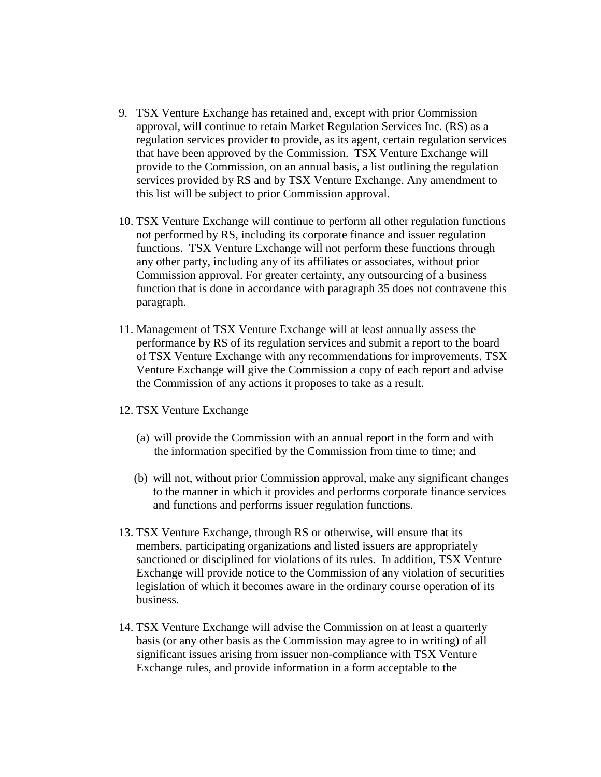- 9. TSX Venture Exchange has retained and, except with prior Commission approval, will continue to retain Market Regulation Services Inc. (RS) as a regulation services provider to provide, as its agent, certain regulation services that have been approved by the Commission. TSX Venture Exchange will provide to the Commission, on an annual basis, a list outlining the regulation services provided by RS and by TSX Venture Exchange. Any amendment to this list will be subject to prior Commission approval.
- 10. TSX Venture Exchange will continue to perform all other regulation functions not performed by RS, including its corporate finance and issuer regulation functions. TSX Venture Exchange will not perform these functions through any other party, including any of its affiliates or associates, without prior Commission approval. For greater certainty, any outsourcing of a business function that is done in accordance with paragraph 35 does not contravene this paragraph.
- 11. Management of TSX Venture Exchange will at least annually assess the performance by RS of its regulation services and submit a report to the board of TSX Venture Exchange with any recommendations for improvements. TSX Venture Exchange will give the Commission a copy of each report and advise the Commission of any actions it proposes to take as a result.
- 12. TSX Venture Exchange
	- (a) will provide the Commission with an annual report in the form and with the information specified by the Commission from time to time; and
	- (b) will not, without prior Commission approval, make any significant changes to the manner in which it provides and performs corporate finance services and functions and performs issuer regulation functions.
- 13. TSX Venture Exchange, through RS or otherwise, will ensure that its members, participating organizations and listed issuers are appropriately sanctioned or disciplined for violations of its rules. In addition, TSX Venture Exchange will provide notice to the Commission of any violation of securities legislation of which it becomes aware in the ordinary course operation of its business.
- 14. TSX Venture Exchange will advise the Commission on at least a quarterly basis (or any other basis as the Commission may agree to in writing) of all significant issues arising from issuer non-compliance with TSX Venture Exchange rules, and provide information in a form acceptable to the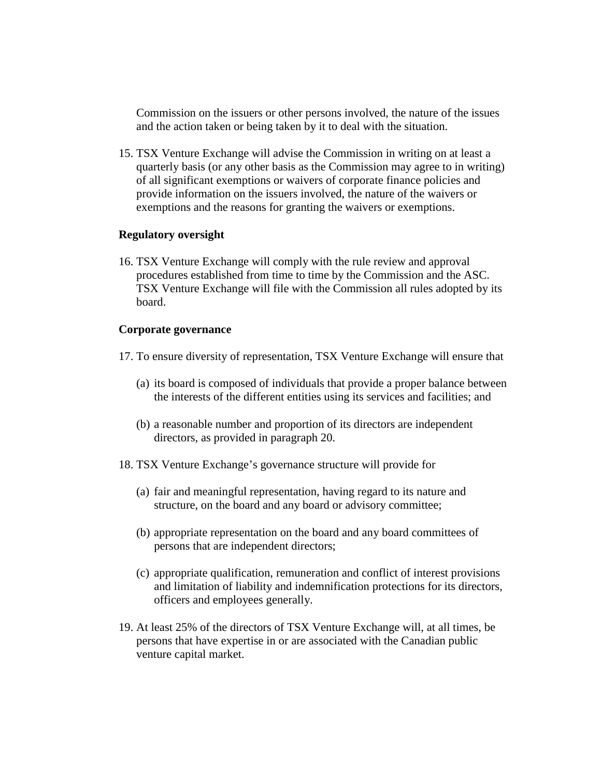Commission on the issuers or other persons involved, the nature of the issues and the action taken or being taken by it to deal with the situation.

15. TSX Venture Exchange will advise the Commission in writing on at least a quarterly basis (or any other basis as the Commission may agree to in writing) of all significant exemptions or waivers of corporate finance policies and provide information on the issuers involved, the nature of the waivers or exemptions and the reasons for granting the waivers or exemptions.

### **Regulatory oversight**

16. TSX Venture Exchange will comply with the rule review and approval procedures established from time to time by the Commission and the ASC. TSX Venture Exchange will file with the Commission all rules adopted by its board.

### **Corporate governance**

- 17. To ensure diversity of representation, TSX Venture Exchange will ensure that
	- (a) its board is composed of individuals that provide a proper balance between the interests of the different entities using its services and facilities; and
	- (b) a reasonable number and proportion of its directors are independent directors, as provided in paragraph 20.
- 18. TSX Venture Exchange's governance structure will provide for
	- (a) fair and meaningful representation, having regard to its nature and structure, on the board and any board or advisory committee;
	- (b) appropriate representation on the board and any board committees of persons that are independent directors;
	- (c) appropriate qualification, remuneration and conflict of interest provisions and limitation of liability and indemnification protections for its directors, officers and employees generally.
- 19. At least 25% of the directors of TSX Venture Exchange will, at all times, be persons that have expertise in or are associated with the Canadian public venture capital market.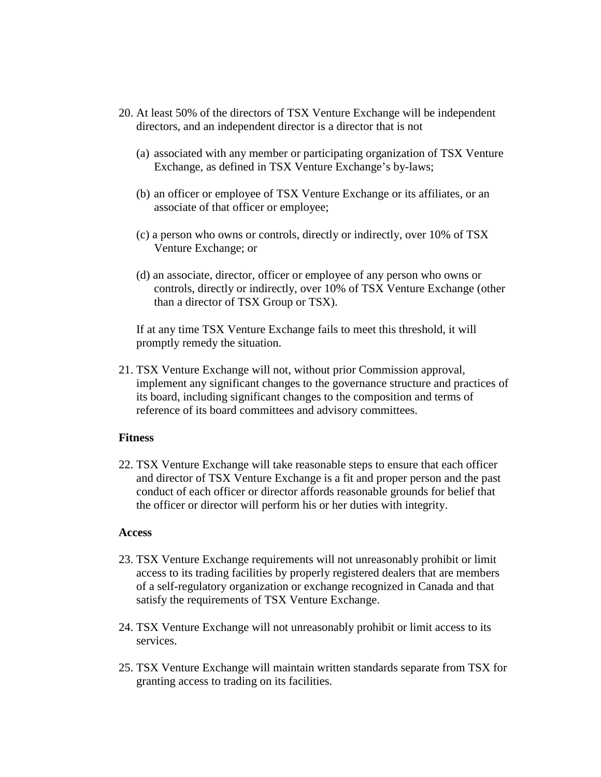- 20. At least 50% of the directors of TSX Venture Exchange will be independent directors, and an independent director is a director that is not
	- (a) associated with any member or participating organization of TSX Venture Exchange, as defined in TSX Venture Exchange's by-laws;
	- (b) an officer or employee of TSX Venture Exchange or its affiliates, or an associate of that officer or employee;
	- (c) a person who owns or controls, directly or indirectly, over 10% of TSX Venture Exchange; or
	- (d) an associate, director, officer or employee of any person who owns or controls, directly or indirectly, over 10% of TSX Venture Exchange (other than a director of TSX Group or TSX).

If at any time TSX Venture Exchange fails to meet this threshold, it will promptly remedy the situation.

21. TSX Venture Exchange will not, without prior Commission approval, implement any significant changes to the governance structure and practices of its board, including significant changes to the composition and terms of reference of its board committees and advisory committees.

### **Fitness**

22. TSX Venture Exchange will take reasonable steps to ensure that each officer and director of TSX Venture Exchange is a fit and proper person and the past conduct of each officer or director affords reasonable grounds for belief that the officer or director will perform his or her duties with integrity.

#### **Access**

- 23. TSX Venture Exchange requirements will not unreasonably prohibit or limit access to its trading facilities by properly registered dealers that are members of a self-regulatory organization or exchange recognized in Canada and that satisfy the requirements of TSX Venture Exchange.
- 24. TSX Venture Exchange will not unreasonably prohibit or limit access to its services.
- 25. TSX Venture Exchange will maintain written standards separate from TSX for granting access to trading on its facilities.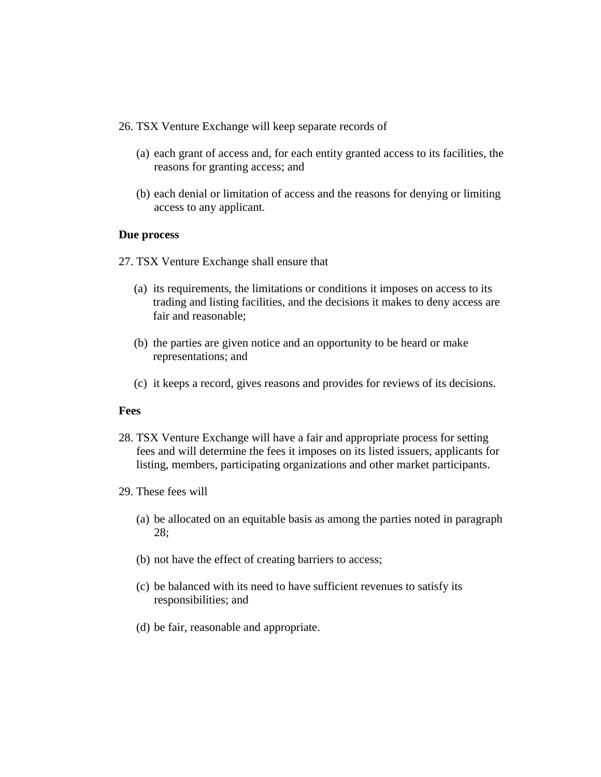26. TSX Venture Exchange will keep separate records of

- (a) each grant of access and, for each entity granted access to its facilities, the reasons for granting access; and
- (b) each denial or limitation of access and the reasons for denying or limiting access to any applicant.

## **Due process**

27. TSX Venture Exchange shall ensure that

- (a) its requirements, the limitations or conditions it imposes on access to its trading and listing facilities, and the decisions it makes to deny access are fair and reasonable;
- (b) the parties are given notice and an opportunity to be heard or make representations; and
- (c) it keeps a record, gives reasons and provides for reviews of its decisions.

### **Fees**

- 28. TSX Venture Exchange will have a fair and appropriate process for setting fees and will determine the fees it imposes on its listed issuers, applicants for listing, members, participating organizations and other market participants.
- 29. These fees will
	- (a) be allocated on an equitable basis as among the parties noted in paragraph 28;
	- (b) not have the effect of creating barriers to access;
	- (c) be balanced with its need to have sufficient revenues to satisfy its responsibilities; and
	- (d) be fair, reasonable and appropriate.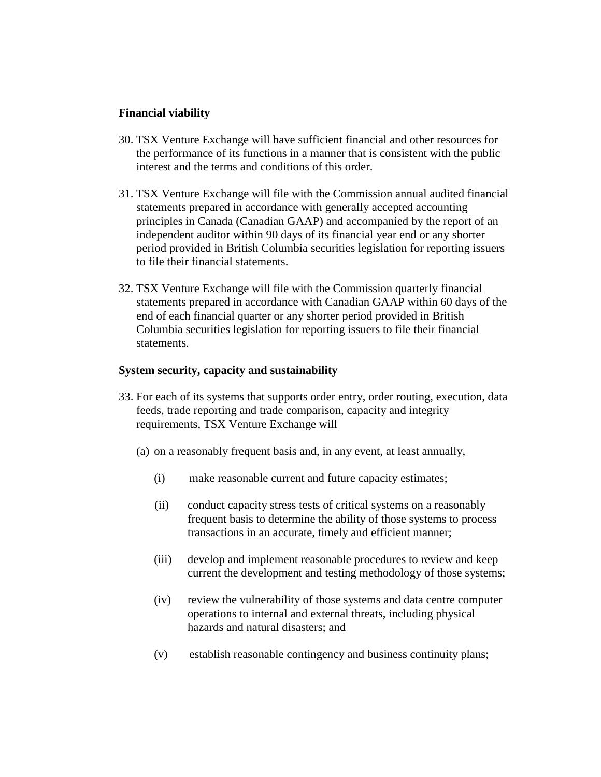# **Financial viability**

- 30. TSX Venture Exchange will have sufficient financial and other resources for the performance of its functions in a manner that is consistent with the public interest and the terms and conditions of this order.
- 31. TSX Venture Exchange will file with the Commission annual audited financial statements prepared in accordance with generally accepted accounting principles in Canada (Canadian GAAP) and accompanied by the report of an independent auditor within 90 days of its financial year end or any shorter period provided in British Columbia securities legislation for reporting issuers to file their financial statements.
- 32. TSX Venture Exchange will file with the Commission quarterly financial statements prepared in accordance with Canadian GAAP within 60 days of the end of each financial quarter or any shorter period provided in British Columbia securities legislation for reporting issuers to file their financial statements.

## **System security, capacity and sustainability**

- 33. For each of its systems that supports order entry, order routing, execution, data feeds, trade reporting and trade comparison, capacity and integrity requirements, TSX Venture Exchange will
	- (a) on a reasonably frequent basis and, in any event, at least annually,
		- (i) make reasonable current and future capacity estimates;
		- (ii) conduct capacity stress tests of critical systems on a reasonably frequent basis to determine the ability of those systems to process transactions in an accurate, timely and efficient manner;
		- (iii) develop and implement reasonable procedures to review and keep current the development and testing methodology of those systems;
		- (iv) review the vulnerability of those systems and data centre computer operations to internal and external threats, including physical hazards and natural disasters; and
		- (v) establish reasonable contingency and business continuity plans;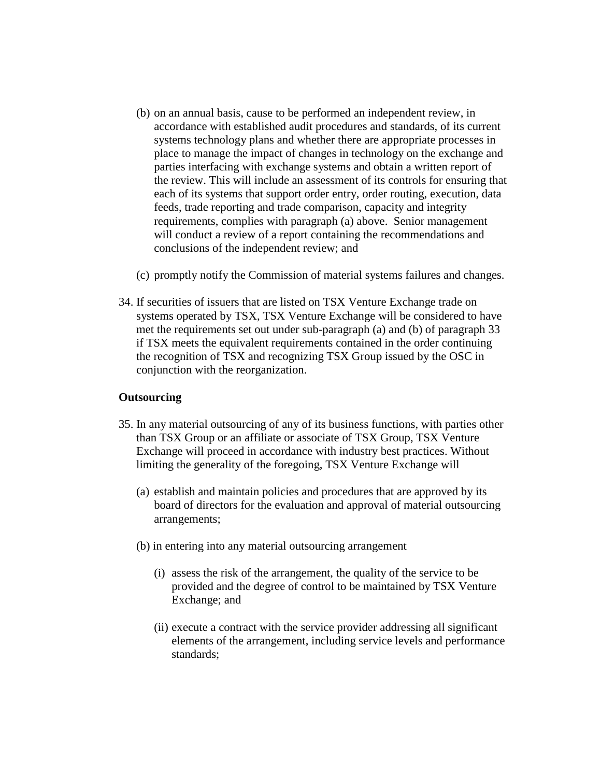- (b) on an annual basis, cause to be performed an independent review, in accordance with established audit procedures and standards, of its current systems technology plans and whether there are appropriate processes in place to manage the impact of changes in technology on the exchange and parties interfacing with exchange systems and obtain a written report of the review. This will include an assessment of its controls for ensuring that each of its systems that support order entry, order routing, execution, data feeds, trade reporting and trade comparison, capacity and integrity requirements, complies with paragraph (a) above. Senior management will conduct a review of a report containing the recommendations and conclusions of the independent review; and
- (c) promptly notify the Commission of material systems failures and changes.
- 34. If securities of issuers that are listed on TSX Venture Exchange trade on systems operated by TSX, TSX Venture Exchange will be considered to have met the requirements set out under sub-paragraph (a) and (b) of paragraph 33 if TSX meets the equivalent requirements contained in the order continuing the recognition of TSX and recognizing TSX Group issued by the OSC in conjunction with the reorganization.

### **Outsourcing**

- 35. In any material outsourcing of any of its business functions, with parties other than TSX Group or an affiliate or associate of TSX Group, TSX Venture Exchange will proceed in accordance with industry best practices. Without limiting the generality of the foregoing, TSX Venture Exchange will
	- (a) establish and maintain policies and procedures that are approved by its board of directors for the evaluation and approval of material outsourcing arrangements;
	- (b) in entering into any material outsourcing arrangement
		- (i) assess the risk of the arrangement, the quality of the service to be provided and the degree of control to be maintained by TSX Venture Exchange; and
		- (ii) execute a contract with the service provider addressing all significant elements of the arrangement, including service levels and performance standards;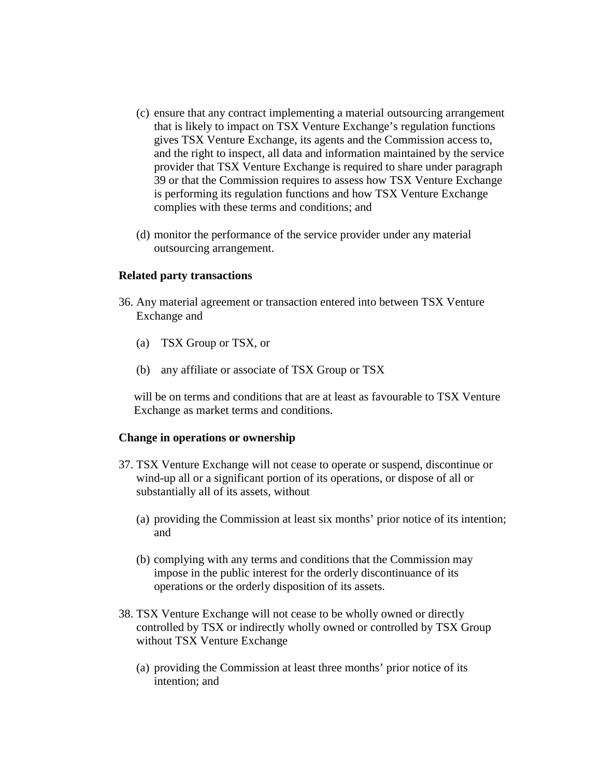- (c) ensure that any contract implementing a material outsourcing arrangement that is likely to impact on TSX Venture Exchange's regulation functions gives TSX Venture Exchange, its agents and the Commission access to, and the right to inspect, all data and information maintained by the service provider that TSX Venture Exchange is required to share under paragraph 39 or that the Commission requires to assess how TSX Venture Exchange is performing its regulation functions and how TSX Venture Exchange complies with these terms and conditions; and
- (d) monitor the performance of the service provider under any material outsourcing arrangement.

## **Related party transactions**

- 36. Any material agreement or transaction entered into between TSX Venture Exchange and
	- (a) TSX Group or TSX, or
	- (b) any affiliate or associate of TSX Group or TSX

will be on terms and conditions that are at least as favourable to TSX Venture Exchange as market terms and conditions.

### **Change in operations or ownership**

- 37. TSX Venture Exchange will not cease to operate or suspend, discontinue or wind-up all or a significant portion of its operations, or dispose of all or substantially all of its assets, without
	- (a) providing the Commission at least six months' prior notice of its intention; and
	- (b) complying with any terms and conditions that the Commission may impose in the public interest for the orderly discontinuance of its operations or the orderly disposition of its assets.
- 38. TSX Venture Exchange will not cease to be wholly owned or directly controlled by TSX or indirectly wholly owned or controlled by TSX Group without TSX Venture Exchange
	- (a) providing the Commission at least three months' prior notice of its intention; and